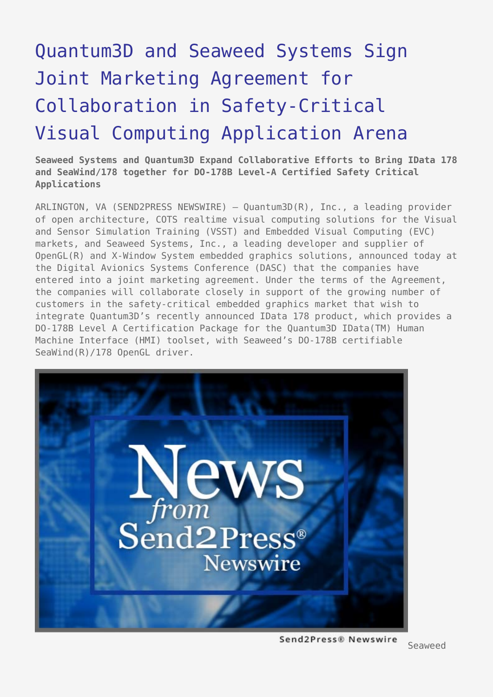# [Quantum3D and Seaweed Systems Sign](https://www.send2press.com/wire/2005-10-1031-001/) [Joint Marketing Agreement for](https://www.send2press.com/wire/2005-10-1031-001/) [Collaboration in Safety-Critical](https://www.send2press.com/wire/2005-10-1031-001/) [Visual Computing Application Arena](https://www.send2press.com/wire/2005-10-1031-001/)

**Seaweed Systems and Quantum3D Expand Collaborative Efforts to Bring IData 178 and SeaWind/178 together for DO-178B Level-A Certified Safety Critical Applications**

ARLINGTON, VA (SEND2PRESS NEWSWIRE) — Quantum3D(R), Inc., a leading provider of open architecture, COTS realtime visual computing solutions for the Visual and Sensor Simulation Training (VSST) and Embedded Visual Computing (EVC) markets, and Seaweed Systems, Inc., a leading developer and supplier of OpenGL(R) and X-Window System embedded graphics solutions, announced today at the Digital Avionics Systems Conference (DASC) that the companies have entered into a joint marketing agreement. Under the terms of the Agreement, the companies will collaborate closely in support of the growing number of customers in the safety-critical embedded graphics market that wish to integrate Quantum3D's recently announced IData 178 product, which provides a DO-178B Level A Certification Package for the Quantum3D IData(TM) Human Machine Interface (HMI) toolset, with Seaweed's DO-178B certifiable SeaWind(R)/178 OpenGL driver.



Send2Press® Newswire

Seaweed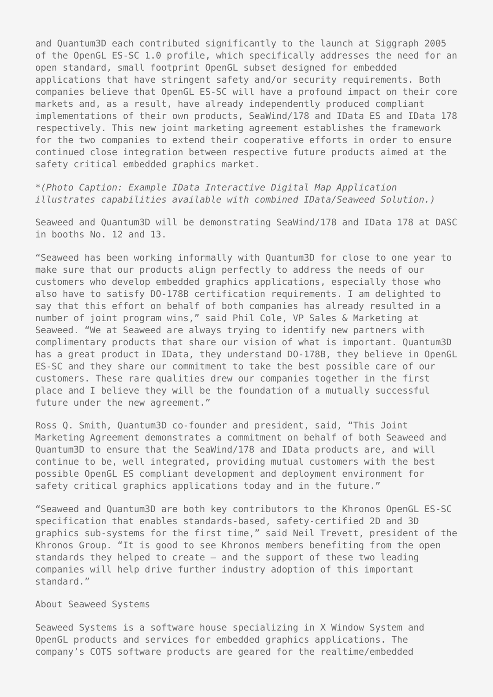and Quantum3D each contributed significantly to the launch at Siggraph 2005 of the OpenGL ES-SC 1.0 profile, which specifically addresses the need for an open standard, small footprint OpenGL subset designed for embedded applications that have stringent safety and/or security requirements. Both companies believe that OpenGL ES-SC will have a profound impact on their core markets and, as a result, have already independently produced compliant implementations of their own products, SeaWind/178 and IData ES and IData 178 respectively. This new joint marketing agreement establishes the framework for the two companies to extend their cooperative efforts in order to ensure continued close integration between respective future products aimed at the safety critical embedded graphics market.

*\*(Photo Caption: Example IData Interactive Digital Map Application illustrates capabilities available with combined IData/Seaweed Solution.)*

Seaweed and Quantum3D will be demonstrating SeaWind/178 and IData 178 at DASC in booths No. 12 and 13.

"Seaweed has been working informally with Quantum3D for close to one year to make sure that our products align perfectly to address the needs of our customers who develop embedded graphics applications, especially those who also have to satisfy DO-178B certification requirements. I am delighted to say that this effort on behalf of both companies has already resulted in a number of joint program wins," said Phil Cole, VP Sales & Marketing at Seaweed. "We at Seaweed are always trying to identify new partners with complimentary products that share our vision of what is important. Quantum3D has a great product in IData, they understand DO-178B, they believe in OpenGL ES-SC and they share our commitment to take the best possible care of our customers. These rare qualities drew our companies together in the first place and I believe they will be the foundation of a mutually successful future under the new agreement."

Ross Q. Smith, Quantum3D co-founder and president, said, "This Joint Marketing Agreement demonstrates a commitment on behalf of both Seaweed and Quantum3D to ensure that the SeaWind/178 and IData products are, and will continue to be, well integrated, providing mutual customers with the best possible OpenGL ES compliant development and deployment environment for safety critical graphics applications today and in the future."

"Seaweed and Quantum3D are both key contributors to the Khronos OpenGL ES-SC specification that enables standards-based, safety-certified 2D and 3D graphics sub-systems for the first time," said Neil Trevett, president of the Khronos Group. "It is good to see Khronos members benefiting from the open standards they helped to create – and the support of these two leading companies will help drive further industry adoption of this important standard."

### About Seaweed Systems

Seaweed Systems is a software house specializing in X Window System and OpenGL products and services for embedded graphics applications. The company's COTS software products are geared for the realtime/embedded